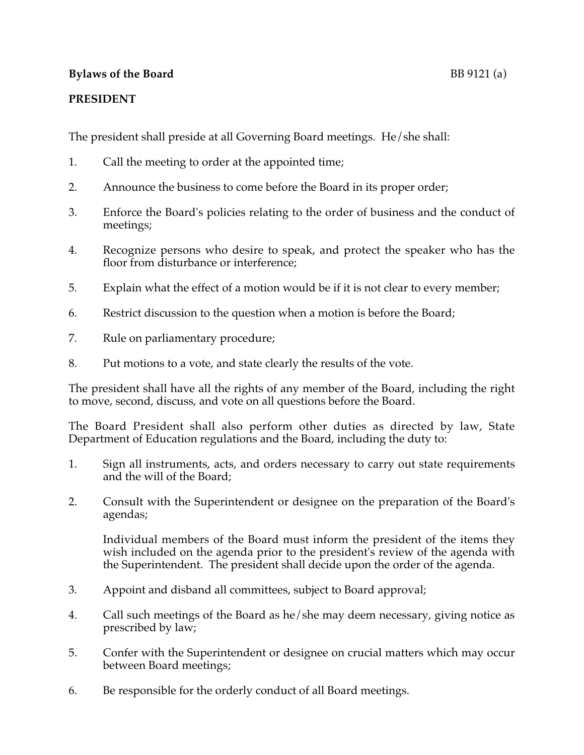## **Bylaws of the Board** BB 9121 (a)

## **PRESIDENT**

The president shall preside at all Governing Board meetings. He/she shall:

- 1. Call the meeting to order at the appointed time;
- 2. Announce the business to come before the Board in its proper order;
- 3. Enforce the Board's policies relating to the order of business and the conduct of meetings;
- 4. Recognize persons who desire to speak, and protect the speaker who has the floor from disturbance or interference;
- 5. Explain what the effect of a motion would be if it is not clear to every member;
- 6. Restrict discussion to the question when a motion is before the Board;
- 7. Rule on parliamentary procedure;
- 8. Put motions to a vote, and state clearly the results of the vote.

The president shall have all the rights of any member of the Board, including the right to move, second, discuss, and vote on all questions before the Board.

The Board President shall also perform other duties as directed by law, State Department of Education regulations and the Board, including the duty to:

- 1. Sign all instruments, acts, and orders necessary to carry out state requirements and the will of the Board;
- 2. Consult with the Superintendent or designee on the preparation of the Board's agendas;

Individual members of the Board must inform the president of the items they wish included on the agenda prior to the president's review of the agenda with the Superintendent. The president shall decide upon the order of the agenda.

- 3. Appoint and disband all committees, subject to Board approval;
- 4. Call such meetings of the Board as he/she may deem necessary, giving notice as prescribed by law;
- 5. Confer with the Superintendent or designee on crucial matters which may occur between Board meetings;
- 6. Be responsible for the orderly conduct of all Board meetings.